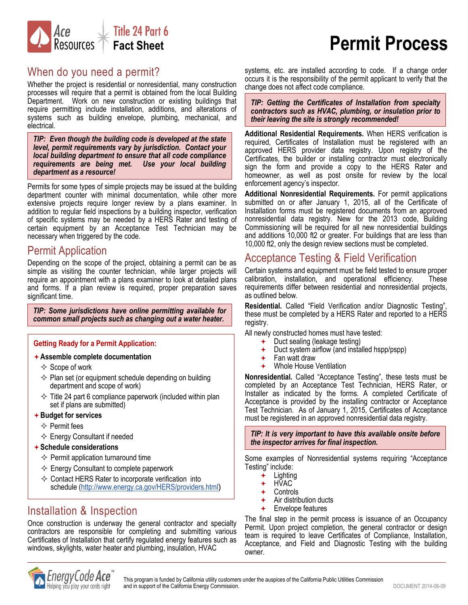

# **Permit Process**

#### When do you need a permit?

Whether the project is residential or nonresidential, many construction processes will require that a permit is obtained from the local Building Department. Work on new construction or existing buildings that require permitting include installation, additions, and alterations of systems such as building envelope, plumbing, mechanical, and electrical.

*TIP: Even though the building code is developed at the state level, permit requirements vary by jurisdiction. Contact your local building department to ensure that all code compliance requirements are being met. Use your local building department as a resource!*

Permits for some types of simple projects may be issued at the building department counter with minimal documentation, while other more extensive projects require longer review by a plans examiner. In addition to regular field inspections by a building inspector, verification of specific systems may be needed by a HERS Rater and testing of certain equipment by an Acceptance Test Technician may be necessary when triggered by the code.

#### Permit Application

Depending on the scope of the project, obtaining a permit can be as simple as visiting the counter technician, while larger projects will require an appointment with a plans examiner to look at detailed plans and forms. If a plan review is required, proper preparation saves significant time.

*TIP: Some jurisdictions have online permitting available for common small projects such as changing out a water heater.*

#### **Getting Ready for a Permit Application:**

- **Assemble complete documentation**
	- $\diamondsuit$  Scope of work
	- $\Diamond$  Plan set (or equipment schedule depending on building department and scope of work)
	- $\Diamond$  Title 24 part 6 compliance paperwork (included within plan set if plans are submitted)
- **Budget for services**
	- $\Leftrightarrow$  Permit fees
	- $\Leftrightarrow$  Energy Consultant if needed
- **Schedule considerations**
	- $\Leftrightarrow$  Permit application turnaround time
	- $\Diamond$  Energy Consultant to complete paperwork
	- $\Diamond$  Contact HERS Rater to incorporate verification into schedule [\(http://www.energy.ca.gov/HERS/providers.html](http://www.energy.ca.gov/HERS/providers.html))

#### Installation & Inspection

Once construction is underway the general contractor and specialty contractors are responsible for completing and submitting various Certificates of Installation that certify regulated energy features such as windows, skylights, water heater and plumbing, insulation, HVAC

systems, etc. are installed according to code. If a change order occurs it is the responsibility of the permit applicant to verify that the change does not affect code compliance.

*TIP: Getting the Certificates of Installation from specialty contractors such as HVAC, plumbing, or insulation prior to their leaving the site is strongly recommended!*

**Additional Residential Requirements.** When HERS verification is required, Certificates of Installation must be registered with an approved HERS provider data registry. Upon registry of the Certificates, the builder or installing contractor must electronically sign the form and provide a copy to the HERS Rater and homeowner, as well as post onsite for review by the local enforcement agency's inspector.

**Additional Nonresidential Requirements.** For permit applications submitted on or after January 1, 2015, all of the Certificate of Installation forms must be registered documents from an approved nonresidential data registry. New for the 2013 code, Building Commissioning will be required for all new nonresidential buildings and additions 10,000 ft2 or greater. For buildings that are less than 10,000 ft2, only the design review sections must be completed.

#### Acceptance Testing & Field Verification

Certain systems and equipment must be field tested to ensure proper<br>calibration. installation. and operational efficiency. These calibration, installation, and operational efficiency. requirements differ between residential and nonresidential projects, as outlined below.

**Residential.** Called "Field Verification and/or Diagnostic Testing", these must be completed by a HERS Rater and reported to a HERS registry.

All newly constructed homes must have tested:

- Duct sealing (leakage testing)
- Duct system airflow (and installed hspp/pspp)
- Fan watt draw
- Whole House Ventilation

**Nonresidential.** Called "Acceptance Testing", these tests must be completed by an Acceptance Test Technician, HERS Rater, or Installer as indicated by the forms. A completed Certificate of Acceptance is provided by the installing contractor or Acceptance Test Technician. As of January 1, 2015, Certificates of Acceptance must be registered in an approved nonresidential data registry.

*TIP: It is very important to have this available onsite before the inspector arrives for final inspection.*

Some examples of Nonresidential systems requiring "Acceptance Testing" include:

- $+$  Lighting
- + HVAC
- Controls
- $\leftarrow$  Air distribution ducts
- Envelope features

The final step in the permit process is issuance of an Occupancy Permit. Upon project completion, the general contractor or design team is required to leave Certificates of Compliance, Installation, Acceptance, and Field and Diagnostic Testing with the building owner.